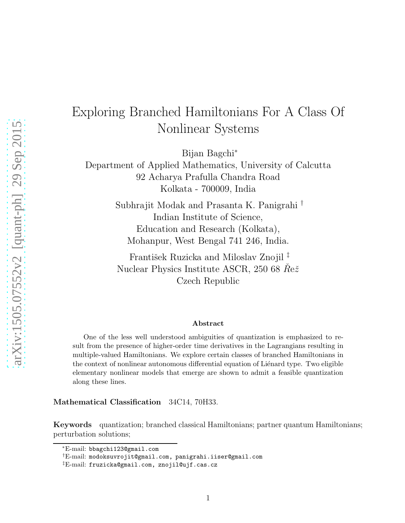# Exploring Branched Hamiltonians For A Class Of Nonlinear Systems

Bijan Bagchi<sup>∗</sup>

Department of Applied Mathematics, University of Calcutta 92 Acharya Prafulla Chandra Road Kolkata - 700009, India

> Subhrajit Modak and Prasanta K. Panigrahi † Indian Institute of Science, Education and Research (Kolkata), Mohanpur, West Bengal 741 246, India.

František Ruzicka and Miloslav Znojil<sup>‡</sup> Nuclear Physics Institute ASCR, 250 68  $\mathring{Re} \check{z}$ Czech Republic

#### Abstract

One of the less well understood ambiguities of quantization is emphasized to result from the presence of higher-order time derivatives in the Lagrangians resulting in multiple-valued Hamiltonians. We explore certain classes of branched Hamiltonians in the context of nonlinear autonomous differential equation of Liénard type. Two eligible elementary nonlinear models that emerge are shown to admit a feasible quantization along these lines.

#### Mathematical Classification 34C14, 70H33.

Keywords quantization; branched classical Hamiltonians; partner quantum Hamiltonians; perturbation solutions;

<sup>∗</sup>E-mail: bbagchi123@gmail.com

<sup>†</sup>E-mail: modoksuvrojit@gmail.com, panigrahi.iiser@gmail.com

<sup>‡</sup>E-mail: fruzicka@gmail.com, znojil@ujf.cas.cz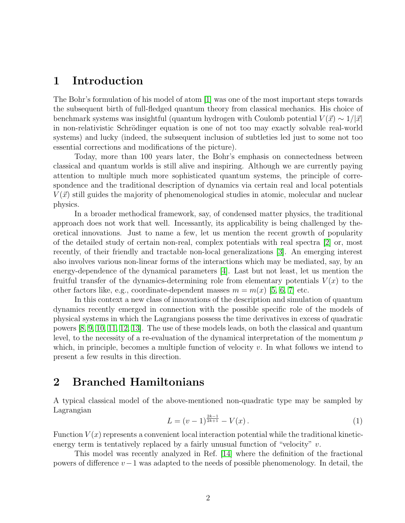## 1 Introduction

The Bohr's formulation of his model of atom [\[1\]](#page-9-0) was one of the most important steps towards the subsequent birth of full-fledged quantum theory from classical mechanics. His choice of benchmark systems was insightful (quantum hydrogen with Coulomb potential  $V(\vec{x}) \sim 1/|\vec{x}|$ in non-relativistic Schrödinger equation is one of not too may exactly solvable real-world systems) and lucky (indeed, the subsequent inclusion of subtleties led just to some not too essential corrections and modifications of the picture).

Today, more than 100 years later, the Bohr's emphasis on connectedness between classical and quantum worlds is still alive and inspiring. Although we are currently paying attention to multiple much more sophisticated quantum systems, the principle of correspondence and the traditional description of dynamics via certain real and local potentials  $V(\vec{x})$  still guides the majority of phenomenological studies in atomic, molecular and nuclear physics.

In a broader methodical framework, say, of condensed matter physics, the traditional approach does not work that well. Incessantly, its applicability is being challenged by theoretical innovations. Just to name a few, let us mention the recent growth of popularity of the detailed study of certain non-real, complex potentials with real spectra [\[2\]](#page-9-1) or, most recently, of their friendly and tractable non-local generalizations [\[3\]](#page-9-2). An emerging interest also involves various non-linear forms of the interactions which may be mediated, say, by an energy-dependence of the dynamical parameters [\[4\]](#page-9-3). Last but not least, let us mention the fruitful transfer of the dynamics-determining role from elementary potentials  $V(x)$  to the other factors like, e.g., coordinate-dependent masses  $m = m(x)$  [\[5,](#page-9-4) [6,](#page-9-5) [7\]](#page-9-6) etc.

In this context a new class of innovations of the description and simulation of quantum dynamics recently emerged in connection with the possible specific role of the models of physical systems in which the Lagrangians possess the time derivatives in excess of quadratic powers [\[8,](#page-9-7) [9,](#page-9-8) [10,](#page-9-9) [11,](#page-9-10) [12,](#page-9-11) [13\]](#page-9-12). The use of these models leads, on both the classical and quantum level, to the necessity of a re-evaluation of the dynamical interpretation of the momentum p which, in principle, becomes a multiple function of velocity  $v$ . In what follows we intend to present a few results in this direction.

## 2 Branched Hamiltonians

A typical classical model of the above-mentioned non-quadratic type may be sampled by Lagrangian

<span id="page-1-0"></span>
$$
L = (v - 1)^{\frac{2k-1}{2k+1}} - V(x).
$$
 (1)

Function  $V(x)$  represents a convenient local interaction potential while the traditional kineticenergy term is tentatively replaced by a fairly unusual function of "velocity"  $v$ .

This model was recently analyzed in Ref. [\[14\]](#page-9-13) where the definition of the fractional powers of difference  $v-1$  was adapted to the needs of possible phenomenology. In detail, the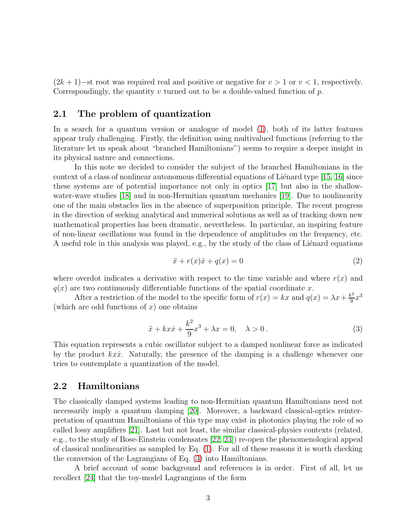$(2k+1)$ −st root was required real and positive or negative for  $v > 1$  or  $v < 1$ , respectively. Correspondingly, the quantity v turned out to be a double-valued function of  $p$ .

### 2.1 The problem of quantization

In a search for a quantum version or analogue of model [\(1\)](#page-1-0), both of its latter features appear truly challenging. Firstly, the definition using multivalued functions (referring to the literature let us speak about "branched Hamiltonians") seems to require a deeper insight in its physical nature and connections.

In this note we decided to consider the subject of the branched Hamiltonians in the context of a class of nonlinear autonomous differential equations of Lienard type  $[15, 16]$  $[15, 16]$  since these systems are of potential importance not only in optics [\[17\]](#page-9-16) but also in the shallow-water-wave studies [\[18\]](#page-9-17) and in non-Hermitian quantum mechanics [\[19\]](#page-9-18). Due to nonlinearity one of the main obstacles lies in the absence of superposition principle. The recent progress in the direction of seeking analytical and numerical solutions as well as of tracking down new mathematical properties has been dramatic, nevertheless. In particular, an inspiring feature of non-linear oscillations was found in the dependence of amplitudes on the frequency, etc. A useful role in this analysis was played, e.g., by the study of the class of Liénard equations

$$
\ddot{x} + r(x)\dot{x} + q(x) = 0\tag{2}
$$

where overdot indicates a derivative with respect to the time variable and where  $r(x)$  and  $q(x)$  are two continuously differentiable functions of the spatial coordinate x.

After a restriction of the model to the specific form of  $r(x) = kx$  and  $q(x) = \lambda x + \frac{k^2}{9}$  $rac{x^2}{9}x^3$ (which are odd functions of  $x$ ) one obtains

<span id="page-2-0"></span>
$$
\ddot{x} + kx\dot{x} + \frac{k^2}{9}x^3 + \lambda x = 0, \quad \lambda > 0.
$$
 (3)

This equation represents a cubic oscillator subject to a damped nonlinear force as indicated by the product  $kx\dot{x}$ . Naturally, the presence of the damping is a challenge whenever one tries to contemplate a quantization of the model.

#### 2.2 Hamiltonians

The classically damped systems leading to non-Hermitian quantum Hamiltonians need not necessarily imply a quantum damping [\[20\]](#page-9-19). Moreover, a backward classical-optics reinterpretation of quantum Hamiltonians of this type may exist in photonics playing the role of so called lossy amplifiers [\[21\]](#page-9-20). Last but not least, the similar classical-physics contexts (related, e.g., to the study of Bose-Einstein condensates [\[22,](#page-9-21) [23\]](#page-10-0)) re-open the phenomenological appeal of classical nonlinearities as sampled by Eq. [\(1\)](#page-1-0). For all of these reasons it is worth checking the conversion of the Lagrangians of Eq. [\(3\)](#page-2-0) into Hamiltonians.

A brief account of some background and references is in order. First of all, let us recollect [\[24\]](#page-10-1) that the toy-model Lagrangians of the form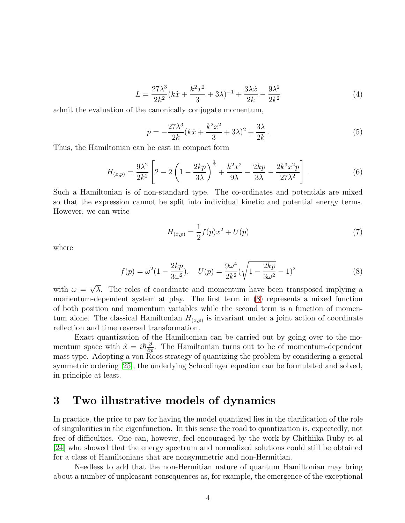$$
L = \frac{27\lambda^3}{2k^2}(k\dot{x} + \frac{k^2x^2}{3} + 3\lambda)^{-1} + \frac{3\lambda\dot{x}}{2k} - \frac{9\lambda^2}{2k^2}
$$
(4)

admit the evaluation of the canonically conjugate momentum,

$$
p = -\frac{27\lambda^3}{2k}(k\dot{x} + \frac{k^2x^2}{3} + 3\lambda)^2 + \frac{3\lambda}{2k}.
$$
 (5)

Thus, the Hamiltonian can be cast in compact form

<span id="page-3-1"></span>
$$
H_{(x,p)} = \frac{9\lambda^2}{2k^2} \left[ 2 - 2\left(1 - \frac{2kp}{3\lambda}\right)^{\frac{1}{2}} + \frac{k^2x^2}{9\lambda} - \frac{2kp}{3\lambda} - \frac{2k^3x^2p}{27\lambda^2} \right].
$$
 (6)

Such a Hamiltonian is of non-standard type. The co-ordinates and potentials are mixed so that the expression cannot be split into individual kinetic and potential energy terms. However, we can write

$$
H_{(x,p)} = \frac{1}{2}f(p)x^2 + U(p)
$$
\n(7)

where

<span id="page-3-0"></span>
$$
f(p) = \omega^2 (1 - \frac{2kp}{3\omega^2}), \quad U(p) = \frac{9\omega^4}{2k^2} (\sqrt{1 - \frac{2kp}{3\omega^2}} - 1)^2
$$
 (8)

with  $\omega = \sqrt{\lambda}$ . The roles of coordinate and momentum have been transposed implying a momentum-dependent system at play. The first term in [\(8\)](#page-3-0) represents a mixed function of both position and momentum variables while the second term is a function of momentum alone. The classical Hamiltonian  $H_{(x,p)}$  is invariant under a joint action of coordinate reflection and time reversal transformation.

Exact quantization of the Hamiltonian can be carried out by going over to the momentum space with  $\hat{x} = i\hbar \frac{\partial}{\partial p}$ . The Hamiltonian turns out to be of momentum-dependent mass type. Adopting a von Roos strategy of quantizing the problem by considering a general symmetric ordering [\[25\]](#page-10-2), the underlying Schrodinger equation can be formulated and solved, in principle at least.

## 3 Two illustrative models of dynamics

In practice, the price to pay for having the model quantized lies in the clarification of the role of singularities in the eigenfunction. In this sense the road to quantization is, expectedly, not free of difficulties. One can, however, feel encouraged by the work by Chithiika Ruby et al [\[24\]](#page-10-1) who showed that the energy spectrum and normalized solutions could still be obtained for a class of Hamiltonians that are nonsymmetric and non-Hermitian.

Needless to add that the non-Hermitian nature of quantum Hamiltonian may bring about a number of unpleasant consequences as, for example, the emergence of the exceptional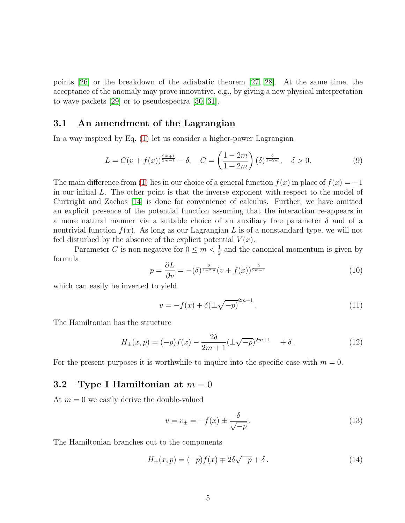points [\[26\]](#page-10-3) or the breakdown of the adiabatic theorem [\[27,](#page-10-4) [28\]](#page-10-5). At the same time, the acceptance of the anomaly may prove innovative, e.g., by giving a new physical interpretation to wave packets [\[29\]](#page-10-6) or to pseudospectra [\[30,](#page-10-7) [31\]](#page-10-8).

### 3.1 An amendment of the Lagrangian

In a way inspired by Eq. [\(1\)](#page-1-0) let us consider a higher-power Lagrangian

$$
L = C(v + f(x))^{\frac{2m+1}{2m-1}} - \delta, \quad C = \left(\frac{1 - 2m}{1 + 2m}\right)(\delta)^{\frac{2}{1 - 2m}}, \quad \delta > 0.
$$
 (9)

The main difference from [\(1\)](#page-1-0) lies in our choice of a general function  $f(x)$  in place of  $f(x) = -1$ in our initial L. The other point is that the inverse exponent with respect to the model of Curtright and Zachos [\[14\]](#page-9-13) is done for convenience of calculus. Further, we have omitted an explicit presence of the potential function assuming that the interaction re-appears in a more natural manner via a suitable choice of an auxiliary free parameter  $\delta$  and of a nontrivial function  $f(x)$ . As long as our Lagrangian L is of a nonstandard type, we will not feel disturbed by the absence of the explicit potential  $V(x)$ .

Parameter C is non-negative for  $0 \le m < \frac{1}{2}$  and the canonical momentum is given by formula

$$
p = \frac{\partial L}{\partial v} = -(\delta)^{\frac{2}{1-2m}} (v + f(x))^{\frac{2}{2m-1}}
$$
(10)

which can easily be inverted to yield

$$
v = -f(x) + \delta(\pm\sqrt{-p})^{2m-1}.
$$
 (11)

The Hamiltonian has the structure

$$
H_{\pm}(x,p) = (-p)f(x) - \frac{2\delta}{2m+1}(\pm\sqrt{-p})^{2m+1} + \delta.
$$
 (12)

For the present purposes it is worthwhile to inquire into the specific case with  $m = 0$ .

#### 3.2 Type I Hamiltonian at  $m = 0$

At  $m = 0$  we easily derive the double-valued

$$
v = v_{\pm} = -f(x) \pm \frac{\delta}{\sqrt{-p}}.
$$
\n(13)

The Hamiltonian branches out to the components

$$
H_{\pm}(x,p) = (-p)f(x) \mp 2\delta\sqrt{-p} + \delta.
$$
 (14)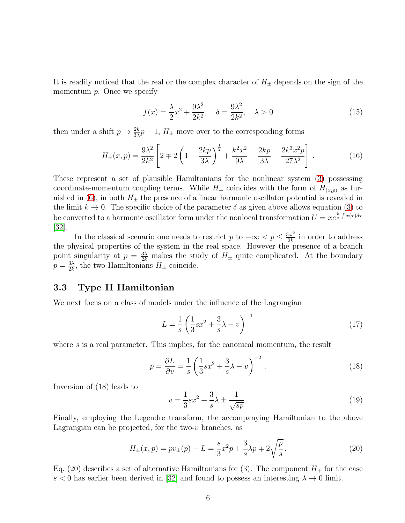It is readily noticed that the real or the complex character of  $H_{\pm}$  depends on the sign of the momentum  $p$ . Once we specify

$$
f(x) = \frac{\lambda}{2}x^2 + \frac{9\lambda^2}{2k^2}, \quad \delta = \frac{9\lambda^2}{2k^2}, \quad \lambda > 0
$$
\n
$$
(15)
$$

then under a shift  $p \to \frac{2k}{3\lambda}p - 1$ ,  $H_{\pm}$  move over to the corresponding forms

<span id="page-5-0"></span>
$$
H_{\pm}(x,p) = \frac{9\lambda^2}{2k^2} \left[ 2 \mp 2\left(1 - \frac{2kp}{3\lambda}\right)^{\frac{1}{2}} + \frac{k^2x^2}{9\lambda} - \frac{2kp}{3\lambda} - \frac{2k^3x^2p}{27\lambda^2} \right].
$$
 (16)

These represent a set of plausible Hamiltonians for the nonlinear system [\(3\)](#page-2-0) possessing coordinate-momentum coupling terms. While  $H_+$  coincides with the form of  $H_{(x,p)}$  as fur-nished in [\(6\)](#page-3-1), in both  $H_{\pm}$  the presence of a linear harmonic oscillator potential is revealed in the limit  $k \to 0$ . The specific choice of the parameter  $\delta$  as given above allows equation [\(3\)](#page-2-0) to be converted to a harmonic oscillator form under the nonlocal transformation  $U = xe^{\frac{k}{3}\int x(\tau)d\tau}$ [\[32\]](#page-10-9).

In the classical scenario one needs to restrict p to  $-\infty < p \leq \frac{3\omega^2}{2k}$  $\frac{3\omega^2}{2k}$  in order to address the physical properties of the system in the real space. However the presence of a branch point singularity at  $p = \frac{3\lambda}{2k}$  makes the study of  $H_{\pm}$  quite complicated. At the boundary  $p = \frac{3\lambda}{2k}$  $\frac{3\lambda}{2k}$ , the two Hamiltonians  $H_{\pm}$  coincide.

#### 3.3 Type II Hamiltonian

We next focus on a class of models under the influence of the Lagrangian

$$
L = \frac{1}{s} \left( \frac{1}{3} s x^2 + \frac{3}{s} \lambda - v \right)^{-1}
$$
 (17)

where s is a real parameter. This implies, for the canonical momentum, the result

$$
p = \frac{\partial L}{\partial v} = \frac{1}{s} \left( \frac{1}{3} s x^2 + \frac{3}{s} \lambda - v \right)^{-2} . \tag{18}
$$

Inversion of (18) leads to

$$
v = \frac{1}{3}sx^2 + \frac{3}{s}\lambda \pm \frac{1}{\sqrt{sp}}.
$$
\n
$$
(19)
$$

Finally, employing the Legendre transform, the accompanying Hamiltonian to the above Lagrangian can be projected, for the two- $v$  branches, as

$$
H_{\pm}(x,p) = pv_{\pm}(p) - L = \frac{s}{3}x^2p + \frac{3}{s}\lambda p \mp 2\sqrt{\frac{p}{s}}.
$$
 (20)

Eq. (20) describes a set of alternative Hamiltonians for (3). The component  $H_+$  for the case s  $\lt 0$  has earlier been derived in [\[32\]](#page-10-9) and found to possess an interesting  $\lambda \to 0$  limit.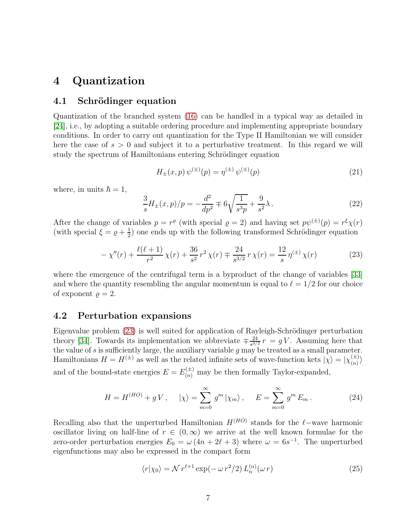## 4 Quantization

#### 4.1 Schrödinger equation

Quantization of the branched system [\(16\)](#page-5-0) can be handled in a typical way as detailed in [\[24\]](#page-10-1), i.e., by adopting a suitable ordering procedure and implementing appropriate boundary conditions. In order to carry out quantization for the Type II Hamiltonian we will consider here the case of  $s > 0$  and subject it to a perturbative treatment. In this regard we will study the spectrum of Hamiltonians entering Schrödinger equation

$$
H_{\pm}(x,p)\,\psi^{(\pm)}(p) = \eta^{(\pm)}\,\psi^{(\pm)}(p) \tag{21}
$$

where, in units  $\hbar = 1$ ,

$$
\frac{3}{s}H_{\pm}(x,p)/p = -\frac{d^2}{dp^2} \mp 6\sqrt{\frac{1}{s^3p}} + \frac{9}{s^2}\lambda.
$$
 (22)

After the change of variables  $p = r^{\varrho}$  (with special  $\varrho = 2$ ) and having set  $p\psi^{(\pm)}(p) = r^{\xi}\chi(r)$ (with special  $\xi = \varrho + \frac{1}{2}$  $\frac{1}{2}$  one ends up with the following transformed Schrödinger equation

<span id="page-6-0"></span>
$$
-\chi''(r) + \frac{\ell(\ell+1)}{r^2}\chi(r) + \frac{36}{s^2}r^2\chi(r) \mp \frac{24}{s^{3/2}}r\chi(r) = \frac{12}{s}\eta^{(\pm)}\chi(r)
$$
 (23)

where the emergence of the centrifugal term is a byproduct of the change of variables [\[33\]](#page-10-10) and where the quantity resembling the angular momentum is equal to  $\ell = 1/2$  for our choice of exponent  $\rho = 2$ .

#### 4.2 Perturbation expansions

Eigenvalue problem [\(23\)](#page-6-0) is well suited for application of Rayleigh-Schrödinger perturbation theory [\[34\]](#page-10-11). Towards its implementation we abbreviate  $\mp \frac{24}{s^3}$  $\frac{24}{s^{3/2}} r = gV$ . Assuming here that the value of  $s$  is sufficiently large, the auxiliary variable  $g$  may be treated as a small parameter. Hamiltonians  $H = H^{(\pm)}$  as well as the related infinite sets of wave-function kets  $|\chi\rangle = |\chi_{(n)}^{(\pm)}\rangle$  $\binom{n}{k}$ and of the bound-state energies  $E = E_{(n)}^{(\pm)}$  may be then formally Taylor-expanded,

<span id="page-6-1"></span>
$$
H = H^{(HO)} + gV, \quad |\chi\rangle = \sum_{m=0}^{\infty} g^m |\chi_m\rangle, \quad E = \sum_{m=0}^{\infty} g^m E_m.
$$
 (24)

Recalling also that the unperturbed Hamiltonian  $H^{(HO)}$  stands for the  $\ell$ -wave harmonic oscillator living on half-line of  $r \in (0,\infty)$  we arrive at the well known formulae for the zero-order perturbation energies  $E_0 = \omega (4n + 2\ell + 3)$  where  $\omega = 6s^{-1}$ . The unperturbed eigenfunctions may also be expressed in the compact form

$$
\langle r|\chi_0\rangle = \mathcal{N}r^{\ell+1}\exp(-\omega r^2/2) L_n^{(\alpha)}(\omega r)
$$
 (25)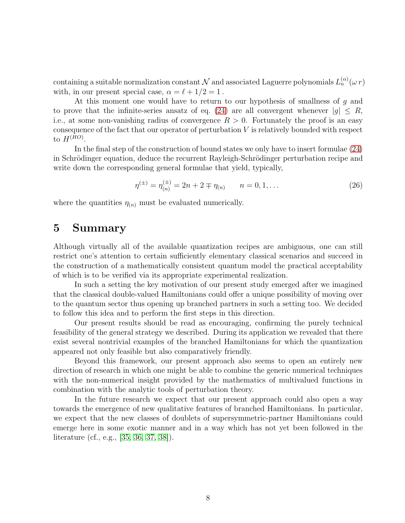containing a suitable normalization constant  $\mathcal N$  and associated Laguerre polynomials  $L_n^{(\alpha)}(\omega r)$ with, in our present special case,  $\alpha = \ell + 1/2 = 1$ .

At this moment one would have to return to our hypothesis of smallness of g and to prove that the infinite-series ansatz of eq. [\(24\)](#page-6-1) are all convergent whenever  $|g| \leq R$ , i.e., at some non-vanishing radius of convergence  $R > 0$ . Fortunately the proof is an easy consequence of the fact that our operator of perturbation  $V$  is relatively bounded with respect to  $H^{(HO)}$ .

In the final step of the construction of bound states we only have to insert formulae [\(24\)](#page-6-1) in Schrödinger equation, deduce the recurrent Rayleigh-Schrödinger perturbation recipe and write down the corresponding general formulae that yield, typically,

$$
\eta^{(\pm)} = \eta^{(\pm)}_{(n)} = 2n + 2 \mp \eta_{(n)} \qquad n = 0, 1, \dots \tag{26}
$$

where the quantities  $\eta_{(n)}$  must be evaluated numerically.

## 5 Summary

Although virtually all of the available quantization recipes are ambiguous, one can still restrict one's attention to certain sufficiently elementary classical scenarios and succeed in the construction of a mathematically consistent quantum model the practical acceptability of which is to be verified via its appropriate experimental realization.

In such a setting the key motivation of our present study emerged after we imagined that the classical double-valued Hamiltonians could offer a unique possibility of moving over to the quantum sector thus opening up branched partners in such a setting too. We decided to follow this idea and to perform the first steps in this direction.

Our present results should be read as encouraging, confirming the purely technical feasibility of the general strategy we described. During its application we revealed that there exist several nontrivial examples of the branched Hamiltonians for which the quantization appeared not only feasible but also comparatively friendly.

Beyond this framework, our present approach also seems to open an entirely new direction of research in which one might be able to combine the generic numerical techniques with the non-numerical insight provided by the mathematics of multivalued functions in combination with the analytic tools of perturbation theory.

In the future research we expect that our present approach could also open a way towards the emergence of new qualitative features of branched Hamiltonians. In particular, we expect that the new classes of doublets of supersymmetric-partner Hamiltonians could emerge here in some exotic manner and in a way which has not yet been followed in the literature (cf., e.g., [\[35,](#page-10-12) [36,](#page-10-13) [37,](#page-10-14) [38\]](#page-10-15)).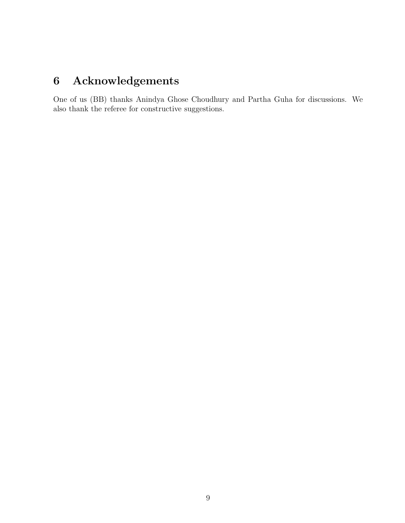# 6 Acknowledgements

One of us (BB) thanks Anindya Ghose Choudhury and Partha Guha for discussions. We also thank the referee for constructive suggestions.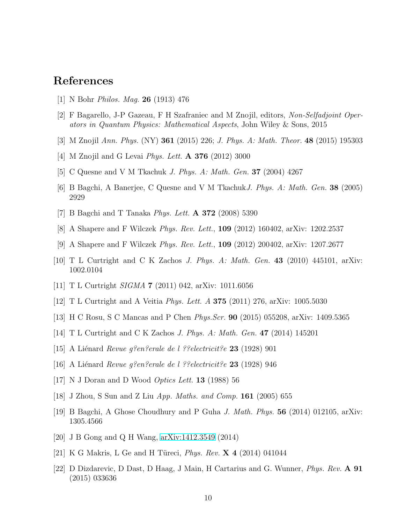## <span id="page-9-0"></span>References

- <span id="page-9-1"></span>[1] N Bohr *Philos. Mag.* 26 (1913) 476
- <span id="page-9-2"></span>[2] F Bagarello, J-P Gazeau, F H Szafraniec and M Znojil, editors, *Non-Selfadjoint Operators in Quantum Physics: Mathematical Aspects*, John Wiley & Sons, 2015
- <span id="page-9-3"></span>[3] M Znojil *Ann. Phys.* (NY) 361 (2015) 226; *J. Phys. A: Math. Theor.* 48 (2015) 195303
- <span id="page-9-4"></span>[4] M Znojil and G Levai *Phys. Lett.* A 376 (2012) 3000
- <span id="page-9-5"></span>[5] C Quesne and V M Tkachuk *J. Phys. A: Math. Gen.* 37 (2004) 4267
- <span id="page-9-6"></span>[6] B Bagchi, A Banerjee, C Quesne and V M Tkachuk*J. Phys. A: Math. Gen.* 38 (2005) 2929
- <span id="page-9-7"></span>[7] B Bagchi and T Tanaka *Phys. Lett.* A 372 (2008) 5390
- <span id="page-9-8"></span>[8] A Shapere and F Wilczek *Phys. Rev. Lett.*, 109 (2012) 160402, arXiv: 1202.2537
- <span id="page-9-9"></span>[9] A Shapere and F Wilczek *Phys. Rev. Lett.*, 109 (2012) 200402, arXiv: 1207.2677
- <span id="page-9-10"></span>[10] T L Curtright and C K Zachos *J. Phys. A: Math. Gen.* 43 (2010) 445101, arXiv: 1002.0104
- <span id="page-9-11"></span>[11] T L Curtright *SIGMA* 7 (2011) 042, arXiv: 1011.6056
- <span id="page-9-12"></span>[12] T L Curtright and A Veitia *Phys. Lett. A* 375 (2011) 276, arXiv: 1005.5030
- <span id="page-9-13"></span>[13] H C Rosu, S C Mancas and P Chen *Phys.Scr.* 90 (2015) 055208, arXiv: 1409.5365
- <span id="page-9-14"></span>[14] T L Curtright and C K Zachos *J. Phys. A: Math. Gen.* 47 (2014) 145201
- <span id="page-9-15"></span>[15] A Li´enard *Revue g?en?erale de l ??electricit?e* 23 (1928) 901
- <span id="page-9-16"></span>[16] A Li´enard *Revue g?en?erale de l ??electricit?e* 23 (1928) 946
- <span id="page-9-17"></span>[17] N J Doran and D Wood *Optics Lett.* 13 (1988) 56
- <span id="page-9-18"></span>[18] J Zhou, S Sun and Z Liu *App. Maths. and Comp.* 161 (2005) 655
- <span id="page-9-19"></span>[19] B Bagchi, A Ghose Choudhury and P Guha *J. Math. Phys.* 56 (2014) 012105, arXiv: 1305.4566
- <span id="page-9-20"></span>[20] J B Gong and Q H Wang, [arXiv:1412.3549](http://arxiv.org/abs/1412.3549) (2014)
- <span id="page-9-21"></span>[21] K G Makris, L Ge and H Türeci, *Phys. Rev.* **X 4** (2014) 041044
- [22] D Dizdarevic, D Dast, D Haag, J Main, H Cartarius and G. Wunner, *Phys. Rev.* A 91 (2015) 033636